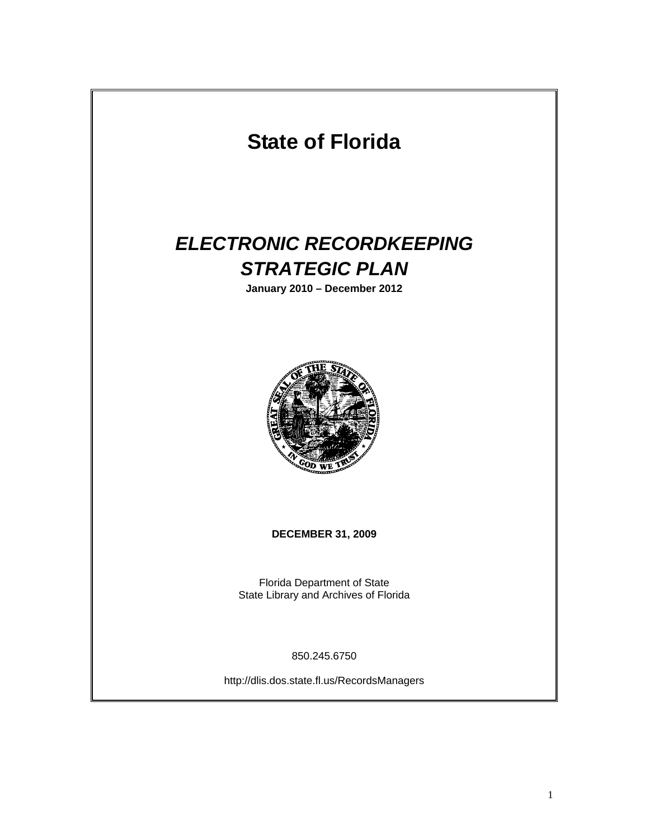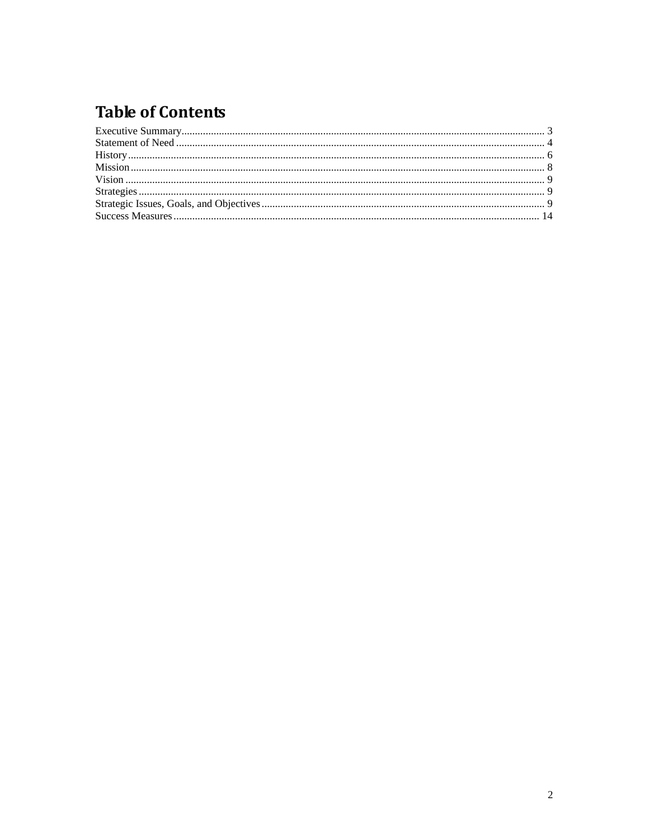# **Table of Contents**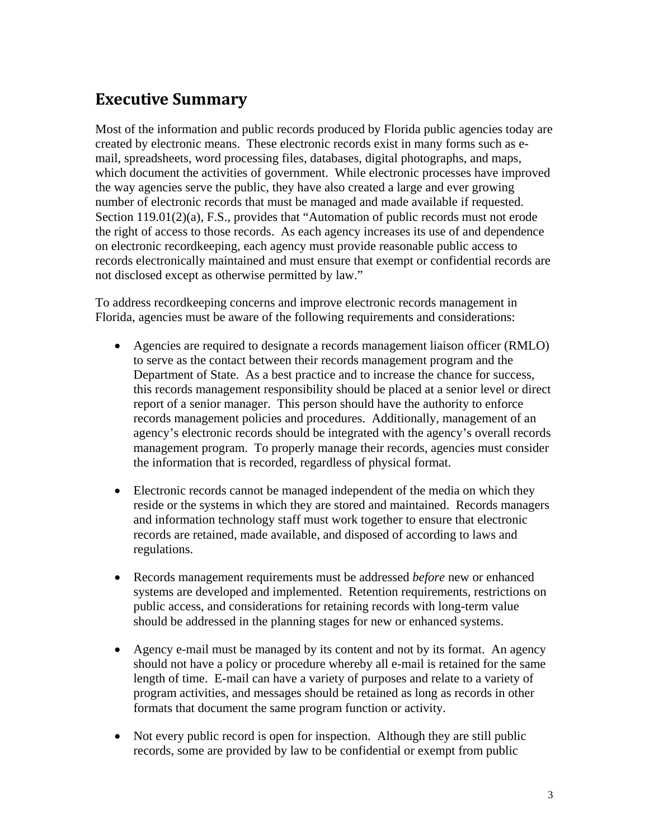### <span id="page-2-0"></span>**Executive Summary**

Most of the information and public records produced by Florida public agencies today are created by electronic means. These electronic records exist in many forms such as email, spreadsheets, word processing files, databases, digital photographs, and maps, which document the activities of government. While electronic processes have improved the way agencies serve the public, they have also created a large and ever growing number of electronic records that must be managed and made available if requested. Section 119.01(2)(a), F.S., provides that "Automation of public records must not erode the right of access to those records. As each agency increases its use of and dependence on electronic recordkeeping, each agency must provide reasonable public access to records electronically maintained and must ensure that exempt or confidential records are not disclosed except as otherwise permitted by law."

To address recordkeeping concerns and improve electronic records management in Florida, agencies must be aware of the following requirements and considerations:

- Agencies are required to designate a records management liaison officer (RMLO) to serve as the contact between their records management program and the Department of State. As a best practice and to increase the chance for success, this records management responsibility should be placed at a senior level or direct report of a senior manager. This person should have the authority to enforce records management policies and procedures. Additionally, management of an agency's electronic records should be integrated with the agency's overall records management program. To properly manage their records, agencies must consider the information that is recorded, regardless of physical format.
- Electronic records cannot be managed independent of the media on which they reside or the systems in which they are stored and maintained. Records managers and information technology staff must work together to ensure that electronic records are retained, made available, and disposed of according to laws and regulations.
- Records management requirements must be addressed *before* new or enhanced systems are developed and implemented. Retention requirements, restrictions on public access, and considerations for retaining records with long-term value should be addressed in the planning stages for new or enhanced systems.
- Agency e-mail must be managed by its content and not by its format. An agency should not have a policy or procedure whereby all e-mail is retained for the same length of time. E-mail can have a variety of purposes and relate to a variety of program activities, and messages should be retained as long as records in other formats that document the same program function or activity.
- Not every public record is open for inspection. Although they are still public records, some are provided by law to be confidential or exempt from public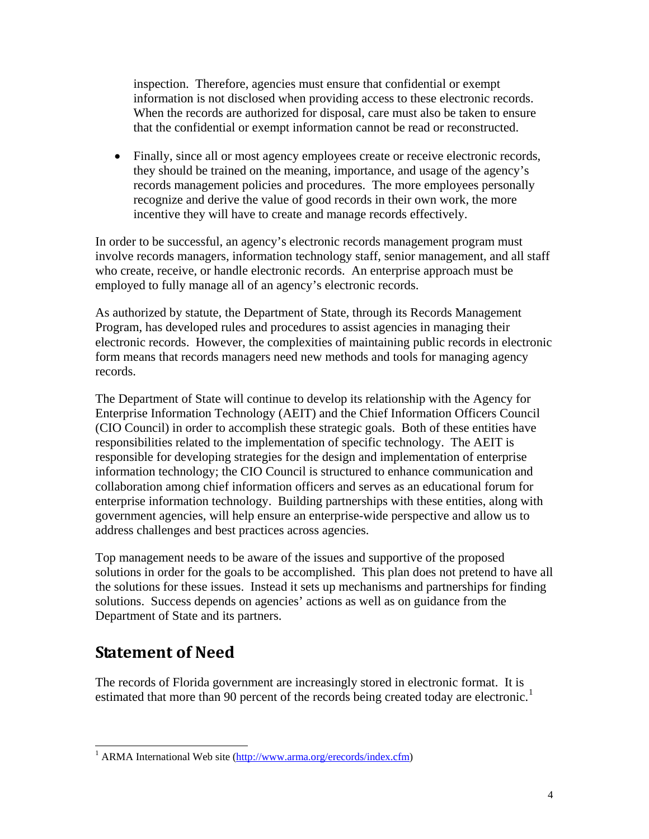<span id="page-3-0"></span>inspection. Therefore, agencies must ensure that confidential or exempt information is not disclosed when providing access to these electronic records. When the records are authorized for disposal, care must also be taken to ensure that the confidential or exempt information cannot be read or reconstructed.

• Finally, since all or most agency employees create or receive electronic records, they should be trained on the meaning, importance, and usage of the agency's records management policies and procedures. The more employees personally recognize and derive the value of good records in their own work, the more incentive they will have to create and manage records effectively.

In order to be successful, an agency's electronic records management program must involve records managers, information technology staff, senior management, and all staff who create, receive, or handle electronic records. An enterprise approach must be employed to fully manage all of an agency's electronic records.

As authorized by statute, the Department of State, through its Records Management Program, has developed rules and procedures to assist agencies in managing their electronic records. However, the complexities of maintaining public records in electronic form means that records managers need new methods and tools for managing agency records.

The Department of State will continue to develop its relationship with the Agency for Enterprise Information Technology (AEIT) and the Chief Information Officers Council (CIO Council) in order to accomplish these strategic goals. Both of these entities have responsibilities related to the implementation of specific technology. The AEIT is responsible for developing strategies for the design and implementation of enterprise information technology; the CIO Council is structured to enhance communication and collaboration among chief information officers and serves as an educational forum for enterprise information technology. Building partnerships with these entities, along with government agencies, will help ensure an enterprise-wide perspective and allow us to address challenges and best practices across agencies.

Top management needs to be aware of the issues and supportive of the proposed solutions in order for the goals to be accomplished. This plan does not pretend to have all the solutions for these issues. Instead it sets up mechanisms and partnerships for finding solutions. Success depends on agencies' actions as well as on guidance from the Department of State and its partners.

### **Statement of Need**

 $\overline{a}$ 

The records of Florida government are increasingly stored in electronic format. It is estimated that more than 90 percent of the records being created today are electronic.<sup>[1](#page-3-1)</sup>

<span id="page-3-1"></span><sup>&</sup>lt;sup>1</sup> ARMA International Web site ([http://www.arma.org/erecords/index.cfm\)](http://www.arma.org/erecords/index.cfm)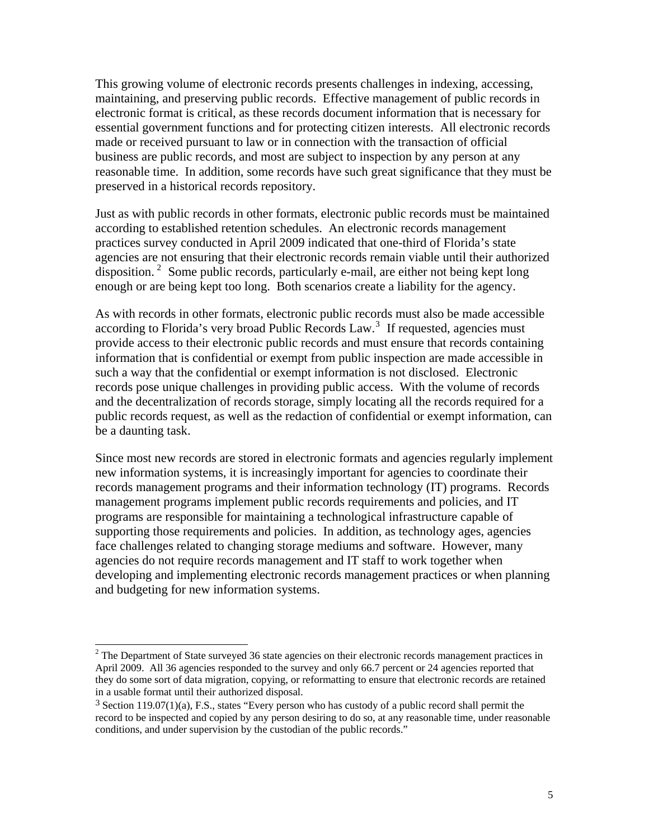This growing volume of electronic records presents challenges in indexing, accessing, maintaining, and preserving public records. Effective management of public records in electronic format is critical, as these records document information that is necessary for essential government functions and for protecting citizen interests. All electronic records made or received pursuant to law or in connection with the transaction of official business are public records, and most are subject to inspection by any person at any reasonable time. In addition, some records have such great significance that they must be preserved in a historical records repository.

Just as with public records in other formats, electronic public records must be maintained according to established retention schedules. An electronic records management practices survey conducted in April 2009 indicated that one-third of Florida's state agencies are not ensuring that their electronic records remain viable until their authorized disposition.<sup>[2](#page-4-0)</sup> Some public records, particularly e-mail, are either not being kept long enough or are being kept too long. Both scenarios create a liability for the agency.

As with records in other formats, electronic public records must also be made accessible according to Florida's very broad Public Records  $Law<sup>3</sup>$  $Law<sup>3</sup>$  $Law<sup>3</sup>$ . If requested, agencies must provide access to their electronic public records and must ensure that records containing information that is confidential or exempt from public inspection are made accessible in such a way that the confidential or exempt information is not disclosed. Electronic records pose unique challenges in providing public access. With the volume of records and the decentralization of records storage, simply locating all the records required for a public records request, as well as the redaction of confidential or exempt information, can be a daunting task.

Since most new records are stored in electronic formats and agencies regularly implement new information systems, it is increasingly important for agencies to coordinate their records management programs and their information technology (IT) programs. Records management programs implement public records requirements and policies, and IT programs are responsible for maintaining a technological infrastructure capable of supporting those requirements and policies. In addition, as technology ages, agencies face challenges related to changing storage mediums and software. However, many agencies do not require records management and IT staff to work together when developing and implementing electronic records management practices or when planning and budgeting for new information systems.

 $\overline{a}$ 

<span id="page-4-0"></span> $2^2$  The Department of State surveyed 36 state agencies on their electronic records management practices in April 2009. All 36 agencies responded to the survey and only 66.7 percent or 24 agencies reported that they do some sort of data migration, copying, or reformatting to ensure that electronic records are retained in a usable format until their authorized disposal.

<span id="page-4-1"></span><sup>3</sup> Section 119.07(1)(a), F.S., states "Every person who has custody of a public record shall permit the record to be inspected and copied by any person desiring to do so, at any reasonable time, under reasonable conditions, and under supervision by the custodian of the public records."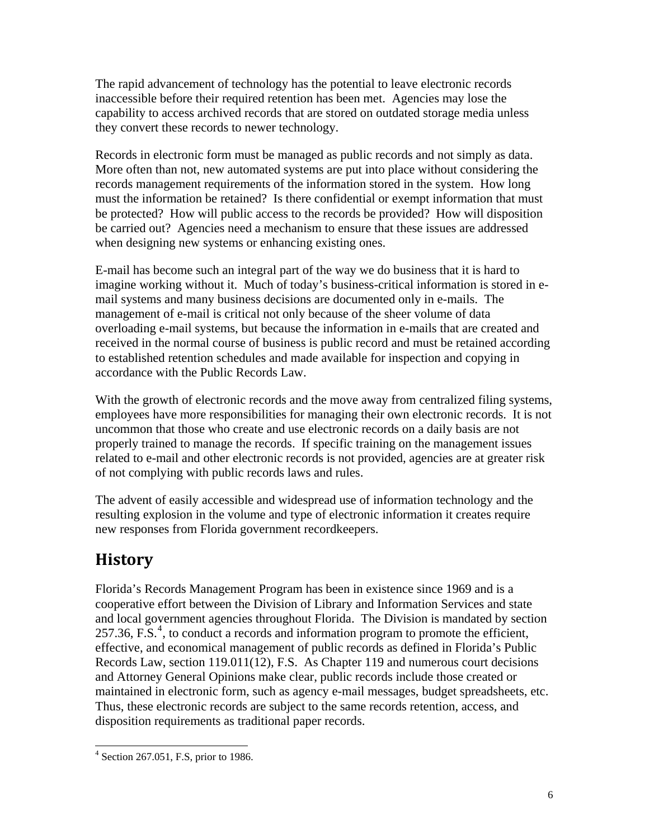<span id="page-5-0"></span>The rapid advancement of technology has the potential to leave electronic records inaccessible before their required retention has been met. Agencies may lose the capability to access archived records that are stored on outdated storage media unless they convert these records to newer technology.

Records in electronic form must be managed as public records and not simply as data. More often than not, new automated systems are put into place without considering the records management requirements of the information stored in the system. How long must the information be retained? Is there confidential or exempt information that must be protected? How will public access to the records be provided? How will disposition be carried out? Agencies need a mechanism to ensure that these issues are addressed when designing new systems or enhancing existing ones.

E-mail has become such an integral part of the way we do business that it is hard to imagine working without it. Much of today's business-critical information is stored in email systems and many business decisions are documented only in e-mails. The management of e-mail is critical not only because of the sheer volume of data overloading e-mail systems, but because the information in e-mails that are created and received in the normal course of business is public record and must be retained according to established retention schedules and made available for inspection and copying in accordance with the Public Records Law.

With the growth of electronic records and the move away from centralized filing systems, employees have more responsibilities for managing their own electronic records. It is not uncommon that those who create and use electronic records on a daily basis are not properly trained to manage the records. If specific training on the management issues related to e-mail and other electronic records is not provided, agencies are at greater risk of not complying with public records laws and rules.

The advent of easily accessible and widespread use of information technology and the resulting explosion in the volume and type of electronic information it creates require new responses from Florida government recordkeepers.

## **History**

Florida's Records Management Program has been in existence since 1969 and is a cooperative effort between the Division of Library and Information Services and state and local government agencies throughout Florida. The Division is mandated by section 257.36, F.S. $<sup>4</sup>$  $<sup>4</sup>$  $<sup>4</sup>$ , to conduct a records and information program to promote the efficient,</sup> effective, and economical management of public records as defined in Florida's Public Records Law, section 119.011(12), F.S. As Chapter 119 and numerous court decisions and Attorney General Opinions make clear, public records include those created or maintained in electronic form, such as agency e-mail messages, budget spreadsheets, etc. Thus, these electronic records are subject to the same records retention, access, and disposition requirements as traditional paper records.

<span id="page-5-1"></span> $\overline{a}$ 4 Section 267.051, F.S, prior to 1986.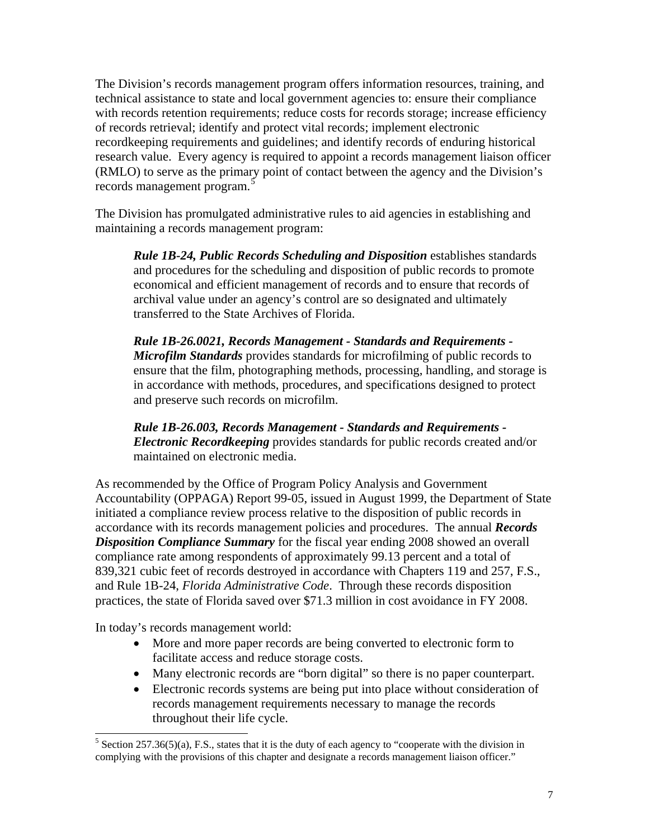The Division's records management program offers information resources, training, and technical assistance to state and local government agencies to: ensure their compliance with records retention requirements; reduce costs for records storage; increase efficiency of records retrieval; identify and protect vital records; implement electronic recordkeeping requirements and guidelines; and identify records of enduring historical research value. Every agency is required to appoint a records management liaison officer (RMLO) to serve as the primary point of contact between the agency and the Division's records management program.<sup>[5](#page-6-0)</sup>

The Division has promulgated administrative rules to aid agencies in establishing and maintaining a records management program:

*Rule 1B-24, Public Records Scheduling and Disposition* establishes standards and procedures for the scheduling and disposition of public records to promote economical and efficient management of records and to ensure that records of archival value under an agency's control are so designated and ultimately transferred to the State Archives of Florida.

*Rule 1B-26.0021, Records Management - Standards and Requirements - Microfilm Standards* provides standards for microfilming of public records to ensure that the film, photographing methods, processing, handling, and storage is in accordance with methods, procedures, and specifications designed to protect and preserve such records on microfilm.

*Rule 1B-26.003, Records Management - Standards and Requirements - Electronic Recordkeeping* provides standards for public records created and/or maintained on electronic media.

As recommended by the Office of Program Policy Analysis and Government Accountability (OPPAGA) Report 99-05, issued in August 1999, the Department of State initiated a compliance review process relative to the disposition of public records in accordance with its records management policies and procedures. The annual *Records Disposition Compliance Summary* for the fiscal year ending 2008 showed an overall compliance rate among respondents of approximately 99.13 percent and a total of 839,321 cubic feet of records destroyed in accordance with Chapters 119 and 257, F.S., and Rule 1B-24, *Florida Administrative Code*. Through these records disposition practices, the state of Florida saved over \$71.3 million in cost avoidance in FY 2008.

In today's records management world:

 $\overline{a}$ 

- More and more paper records are being converted to electronic form to facilitate access and reduce storage costs.
- Many electronic records are "born digital" so there is no paper counterpart.
- Electronic records systems are being put into place without consideration of records management requirements necessary to manage the records throughout their life cycle.

<span id="page-6-0"></span><sup>&</sup>lt;sup>5</sup> Section 257.36(5)(a), F.S., states that it is the duty of each agency to "cooperate with the division in complying with the provisions of this chapter and designate a records management liaison officer."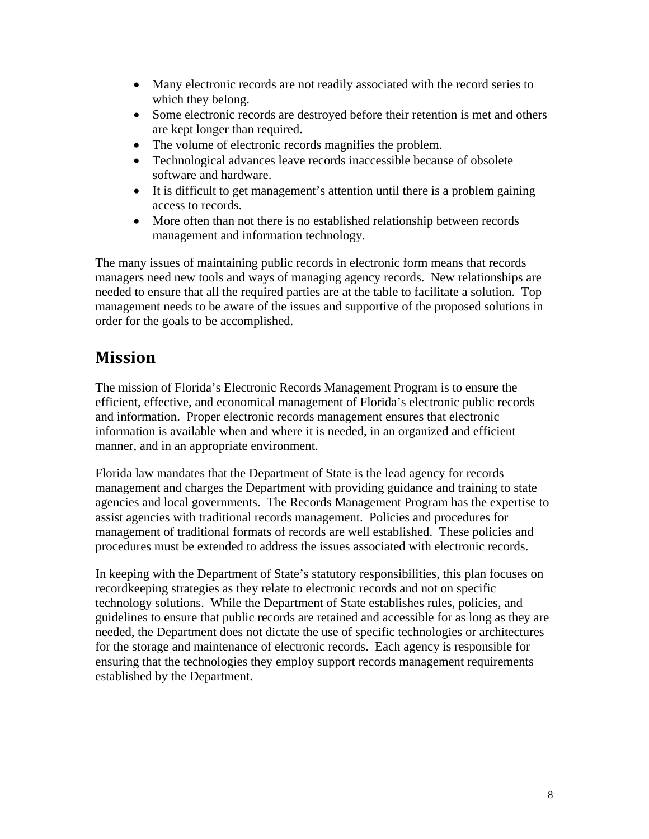- <span id="page-7-0"></span>• Many electronic records are not readily associated with the record series to which they belong.
- Some electronic records are destroyed before their retention is met and others are kept longer than required.
- The volume of electronic records magnifies the problem.
- Technological advances leave records inaccessible because of obsolete software and hardware.
- It is difficult to get management's attention until there is a problem gaining access to records.
- More often than not there is no established relationship between records management and information technology.

The many issues of maintaining public records in electronic form means that records managers need new tools and ways of managing agency records. New relationships are needed to ensure that all the required parties are at the table to facilitate a solution. Top management needs to be aware of the issues and supportive of the proposed solutions in order for the goals to be accomplished.

### **Mission**

The mission of Florida's Electronic Records Management Program is to ensure the efficient, effective, and economical management of Florida's electronic public records and information. Proper electronic records management ensures that electronic information is available when and where it is needed, in an organized and efficient manner, and in an appropriate environment.

Florida law mandates that the Department of State is the lead agency for records management and charges the Department with providing guidance and training to state agencies and local governments. The Records Management Program has the expertise to assist agencies with traditional records management. Policies and procedures for management of traditional formats of records are well established. These policies and procedures must be extended to address the issues associated with electronic records.

In keeping with the Department of State's statutory responsibilities, this plan focuses on recordkeeping strategies as they relate to electronic records and not on specific technology solutions. While the Department of State establishes rules, policies, and guidelines to ensure that public records are retained and accessible for as long as they are needed, the Department does not dictate the use of specific technologies or architectures for the storage and maintenance of electronic records. Each agency is responsible for ensuring that the technologies they employ support records management requirements established by the Department.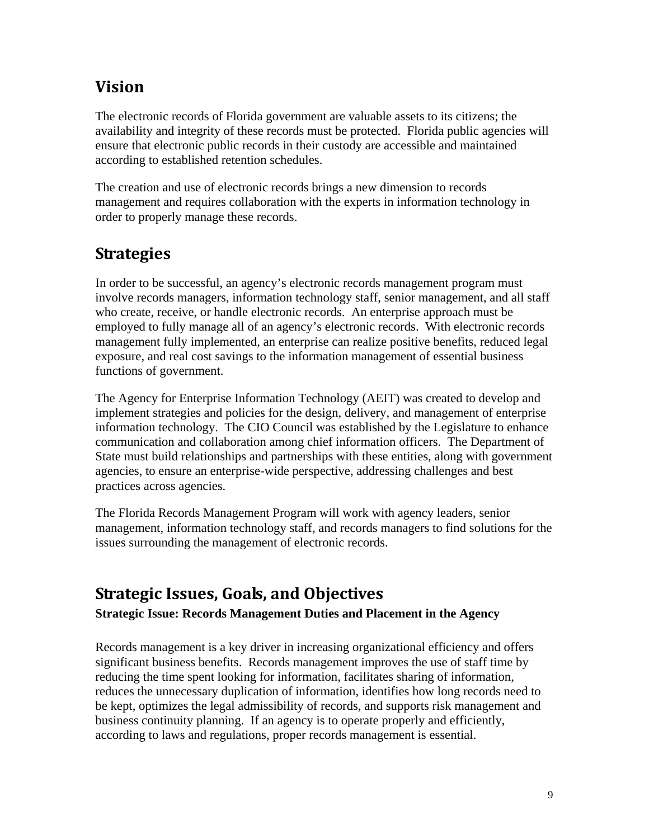## <span id="page-8-0"></span>**Vision**

The electronic records of Florida government are valuable assets to its citizens; the availability and integrity of these records must be protected. Florida public agencies will ensure that electronic public records in their custody are accessible and maintained according to established retention schedules.

The creation and use of electronic records brings a new dimension to records management and requires collaboration with the experts in information technology in order to properly manage these records.

## **Strategies**

In order to be successful, an agency's electronic records management program must involve records managers, information technology staff, senior management, and all staff who create, receive, or handle electronic records. An enterprise approach must be employed to fully manage all of an agency's electronic records. With electronic records management fully implemented, an enterprise can realize positive benefits, reduced legal exposure, and real cost savings to the information management of essential business functions of government.

The Agency for Enterprise Information Technology (AEIT) was created to develop and implement strategies and policies for the design, delivery, and management of enterprise information technology. The CIO Council was established by the Legislature to enhance communication and collaboration among chief information officers. The Department of State must build relationships and partnerships with these entities, along with government agencies, to ensure an enterprise-wide perspective, addressing challenges and best practices across agencies.

The Florida Records Management Program will work with agency leaders, senior management, information technology staff, and records managers to find solutions for the issues surrounding the management of electronic records.

## **Strategic Issues, Goals, and Objectives**

**Strategic Issue: Records Management Duties and Placement in the Agency** 

Records management is a key driver in increasing organizational efficiency and offers significant business benefits. Records management improves the use of staff time by reducing the time spent looking for information, facilitates sharing of information, reduces the unnecessary duplication of information, identifies how long records need to be kept, optimizes the legal admissibility of records, and supports risk management and business continuity planning. If an agency is to operate properly and efficiently, according to laws and regulations, proper records management is essential.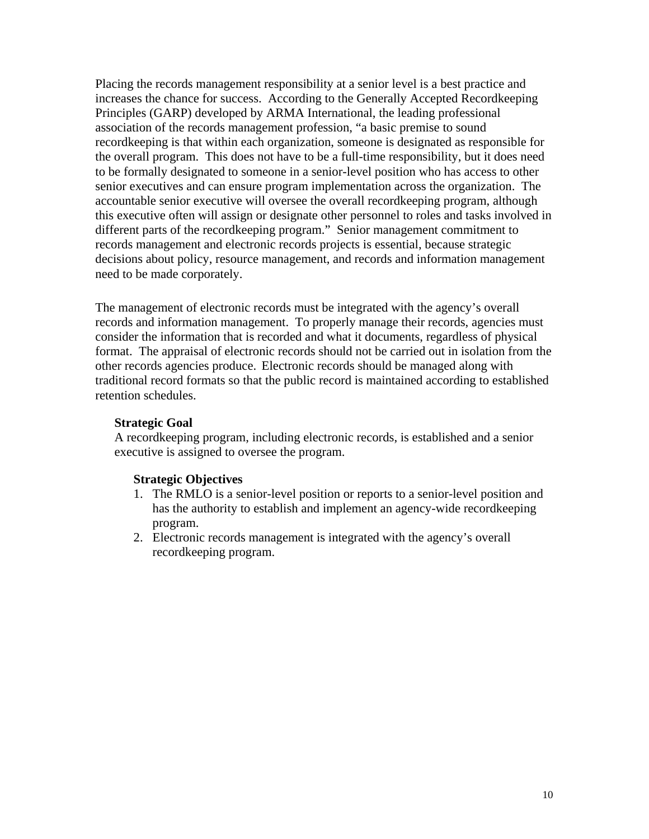Placing the records management responsibility at a senior level is a best practice and increases the chance for success. According to the Generally Accepted Recordkeeping Principles (GARP) developed by ARMA International, the leading professional association of the records management profession, "a basic premise to sound recordkeeping is that within each organization, someone is designated as responsible for the overall program. This does not have to be a full-time responsibility, but it does need to be formally designated to someone in a senior-level position who has access to other senior executives and can ensure program implementation across the organization. The accountable senior executive will oversee the overall recordkeeping program, although this executive often will assign or designate other personnel to roles and tasks involved in different parts of the recordkeeping program." Senior management commitment to records management and electronic records projects is essential, because strategic decisions about policy, resource management, and records and information management need to be made corporately.

The management of electronic records must be integrated with the agency's overall records and information management. To properly manage their records, agencies must consider the information that is recorded and what it documents, regardless of physical format. The appraisal of electronic records should not be carried out in isolation from the other records agencies produce. Electronic records should be managed along with traditional record formats so that the public record is maintained according to established retention schedules.

#### **Strategic Goal**

A recordkeeping program, including electronic records, is established and a senior executive is assigned to oversee the program.

#### **Strategic Objectives**

- 1. The RMLO is a senior-level position or reports to a senior-level position and has the authority to establish and implement an agency-wide recordkeeping program.
- 2. Electronic records management is integrated with the agency's overall recordkeeping program.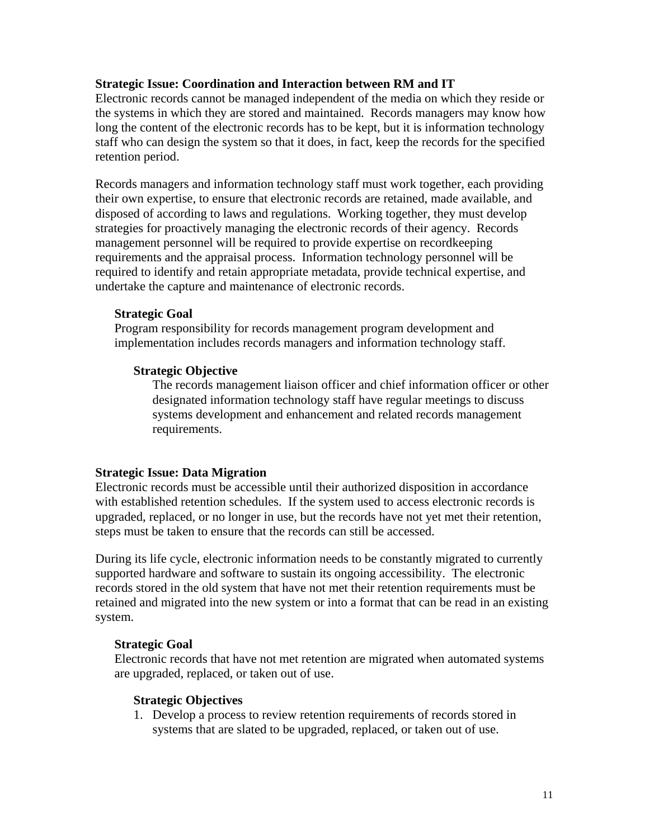#### **Strategic Issue: Coordination and Interaction between RM and IT**

Electronic records cannot be managed independent of the media on which they reside or the systems in which they are stored and maintained. Records managers may know how long the content of the electronic records has to be kept, but it is information technology staff who can design the system so that it does, in fact, keep the records for the specified retention period.

Records managers and information technology staff must work together, each providing their own expertise, to ensure that electronic records are retained, made available, and disposed of according to laws and regulations. Working together, they must develop strategies for proactively managing the electronic records of their agency. Records management personnel will be required to provide expertise on recordkeeping requirements and the appraisal process. Information technology personnel will be required to identify and retain appropriate metadata, provide technical expertise, and undertake the capture and maintenance of electronic records.

#### **Strategic Goal**

Program responsibility for records management program development and implementation includes records managers and information technology staff.

#### **Strategic Objective**

The records management liaison officer and chief information officer or other designated information technology staff have regular meetings to discuss systems development and enhancement and related records management requirements.

#### **Strategic Issue: Data Migration**

Electronic records must be accessible until their authorized disposition in accordance with established retention schedules. If the system used to access electronic records is upgraded, replaced, or no longer in use, but the records have not yet met their retention, steps must be taken to ensure that the records can still be accessed.

During its life cycle, electronic information needs to be constantly migrated to currently supported hardware and software to sustain its ongoing accessibility. The electronic records stored in the old system that have not met their retention requirements must be retained and migrated into the new system or into a format that can be read in an existing system.

#### **Strategic Goal**

Electronic records that have not met retention are migrated when automated systems are upgraded, replaced, or taken out of use.

#### **Strategic Objectives**

1. Develop a process to review retention requirements of records stored in systems that are slated to be upgraded, replaced, or taken out of use.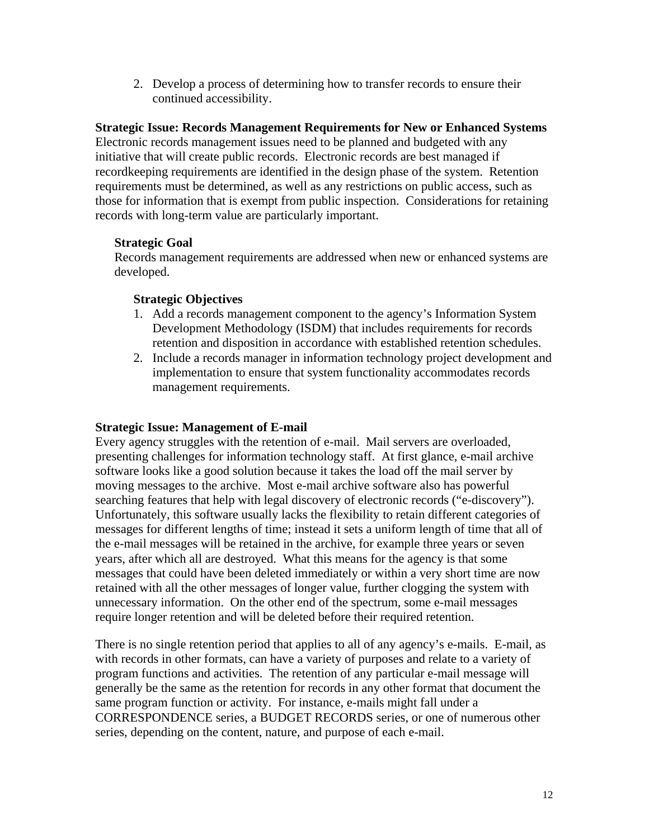2. Develop a process of determining how to transfer records to ensure their continued accessibility.

### **Strategic Issue: Records Management Requirements for New or Enhanced Systems**

Electronic records management issues need to be planned and budgeted with any initiative that will create public records. Electronic records are best managed if recordkeeping requirements are identified in the design phase of the system. Retention requirements must be determined, as well as any restrictions on public access, such as those for information that is exempt from public inspection. Considerations for retaining records with long-term value are particularly important.

#### **Strategic Goal**

Records management requirements are addressed when new or enhanced systems are developed.

### **Strategic Objectives**

- 1. Add a records management component to the agency's Information System Development Methodology (ISDM) that includes requirements for records retention and disposition in accordance with established retention schedules.
- 2. Include a records manager in information technology project development and implementation to ensure that system functionality accommodates records management requirements.

### **Strategic Issue: Management of E-mail**

Every agency struggles with the retention of e-mail. Mail servers are overloaded, presenting challenges for information technology staff. At first glance, e-mail archive software looks like a good solution because it takes the load off the mail server by moving messages to the archive. Most e-mail archive software also has powerful searching features that help with legal discovery of electronic records ("e-discovery"). Unfortunately, this software usually lacks the flexibility to retain different categories of messages for different lengths of time; instead it sets a uniform length of time that all of the e-mail messages will be retained in the archive, for example three years or seven years, after which all are destroyed. What this means for the agency is that some messages that could have been deleted immediately or within a very short time are now retained with all the other messages of longer value, further clogging the system with unnecessary information. On the other end of the spectrum, some e-mail messages require longer retention and will be deleted before their required retention.

There is no single retention period that applies to all of any agency's e-mails. E-mail, as with records in other formats, can have a variety of purposes and relate to a variety of program functions and activities. The retention of any particular e-mail message will generally be the same as the retention for records in any other format that document the same program function or activity. For instance, e-mails might fall under a CORRESPONDENCE series, a BUDGET RECORDS series, or one of numerous other series, depending on the content, nature, and purpose of each e-mail.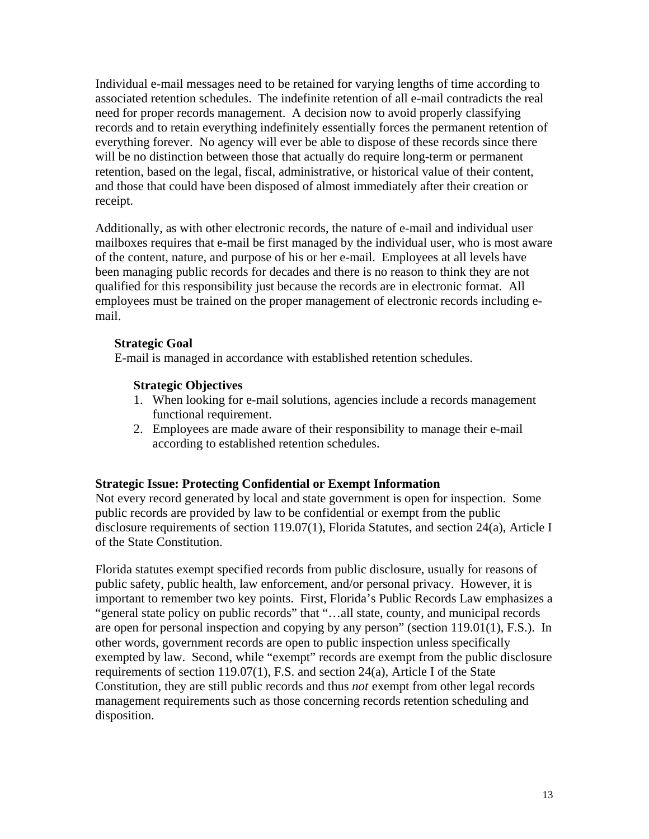Individual e-mail messages need to be retained for varying lengths of time according to associated retention schedules. The indefinite retention of all e-mail contradicts the real need for proper records management. A decision now to avoid properly classifying records and to retain everything indefinitely essentially forces the permanent retention of everything forever. No agency will ever be able to dispose of these records since there will be no distinction between those that actually do require long-term or permanent retention, based on the legal, fiscal, administrative, or historical value of their content, and those that could have been disposed of almost immediately after their creation or receipt.

Additionally, as with other electronic records, the nature of e-mail and individual user mailboxes requires that e-mail be first managed by the individual user, who is most aware of the content, nature, and purpose of his or her e-mail. Employees at all levels have been managing public records for decades and there is no reason to think they are not qualified for this responsibility just because the records are in electronic format. All employees must be trained on the proper management of electronic records including email.

#### **Strategic Goal**

E-mail is managed in accordance with established retention schedules.

#### **Strategic Objectives**

- 1. When looking for e-mail solutions, agencies include a records management functional requirement.
- 2. Employees are made aware of their responsibility to manage their e-mail according to established retention schedules.

### **Strategic Issue: Protecting Confidential or Exempt Information**

Not every record generated by local and state government is open for inspection. Some public records are provided by law to be confidential or exempt from the public disclosure requirements of section 119.07(1), Florida Statutes, and section 24(a), Article I of the State Constitution.

Florida statutes exempt specified records from public disclosure, usually for reasons of public safety, public health, law enforcement, and/or personal privacy. However, it is important to remember two key points. First, Florida's Public Records Law emphasizes a "general state policy on public records" that "…all state, county, and municipal records are open for personal inspection and copying by any person" (section 119.01(1), F.S.). In other words, government records are open to public inspection unless specifically exempted by law. Second, while "exempt" records are exempt from the public disclosure requirements of section 119.07(1), F.S. and section 24(a), Article I of the State Constitution, they are still public records and thus *not* exempt from other legal records management requirements such as those concerning records retention scheduling and disposition.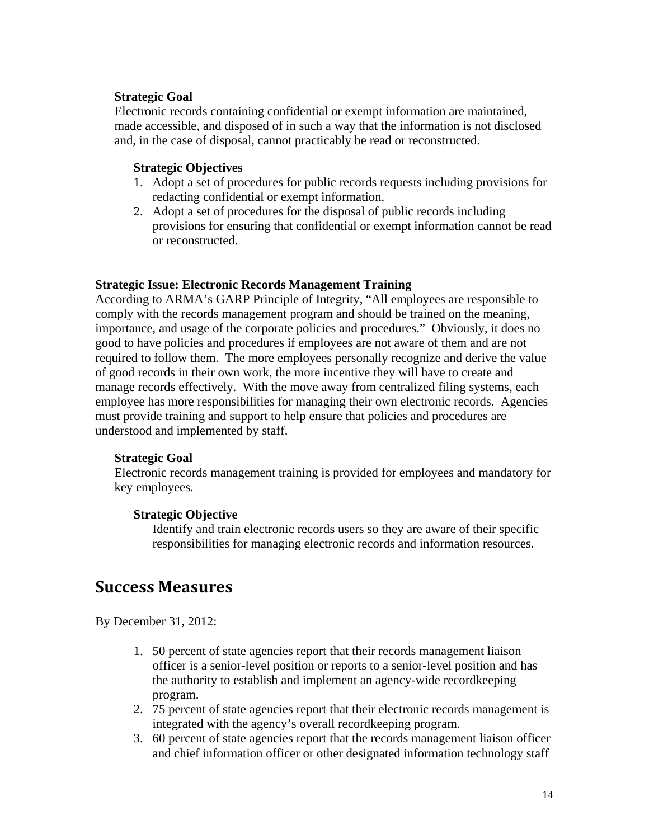#### <span id="page-13-0"></span>**Strategic Goal**

Electronic records containing confidential or exempt information are maintained, made accessible, and disposed of in such a way that the information is not disclosed and, in the case of disposal, cannot practicably be read or reconstructed.

#### **Strategic Objectives**

- 1. Adopt a set of procedures for public records requests including provisions for redacting confidential or exempt information.
- 2. Adopt a set of procedures for the disposal of public records including provisions for ensuring that confidential or exempt information cannot be read or reconstructed.

#### **Strategic Issue: Electronic Records Management Training**

According to ARMA's GARP Principle of Integrity, "All employees are responsible to comply with the records management program and should be trained on the meaning, importance, and usage of the corporate policies and procedures." Obviously, it does no good to have policies and procedures if employees are not aware of them and are not required to follow them. The more employees personally recognize and derive the value of good records in their own work, the more incentive they will have to create and manage records effectively. With the move away from centralized filing systems, each employee has more responsibilities for managing their own electronic records. Agencies must provide training and support to help ensure that policies and procedures are understood and implemented by staff.

#### **Strategic Goal**

Electronic records management training is provided for employees and mandatory for key employees.

#### **Strategic Objective**

Identify and train electronic records users so they are aware of their specific responsibilities for managing electronic records and information resources.

### **Success Measures**

By December 31, 2012:

- 1. 50 percent of state agencies report that their records management liaison officer is a senior-level position or reports to a senior-level position and has the authority to establish and implement an agency-wide recordkeeping program.
- 2. 75 percent of state agencies report that their electronic records management is integrated with the agency's overall recordkeeping program.
- 3. 60 percent of state agencies report that the records management liaison officer and chief information officer or other designated information technology staff